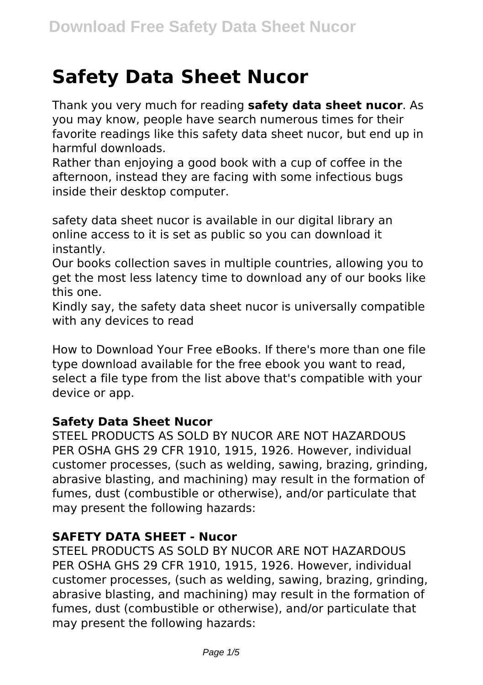# **Safety Data Sheet Nucor**

Thank you very much for reading **safety data sheet nucor**. As you may know, people have search numerous times for their favorite readings like this safety data sheet nucor, but end up in harmful downloads.

Rather than enjoying a good book with a cup of coffee in the afternoon, instead they are facing with some infectious bugs inside their desktop computer.

safety data sheet nucor is available in our digital library an online access to it is set as public so you can download it instantly.

Our books collection saves in multiple countries, allowing you to get the most less latency time to download any of our books like this one.

Kindly say, the safety data sheet nucor is universally compatible with any devices to read

How to Download Your Free eBooks. If there's more than one file type download available for the free ebook you want to read, select a file type from the list above that's compatible with your device or app.

#### **Safety Data Sheet Nucor**

STEEL PRODUCTS AS SOLD BY NUCOR ARE NOT HAZARDOUS PER OSHA GHS 29 CFR 1910, 1915, 1926. However, individual customer processes, (such as welding, sawing, brazing, grinding, abrasive blasting, and machining) may result in the formation of fumes, dust (combustible or otherwise), and/or particulate that may present the following hazards:

#### **SAFETY DATA SHEET - Nucor**

STEEL PRODUCTS AS SOLD BY NUCOR ARE NOT HAZARDOUS PER OSHA GHS 29 CFR 1910, 1915, 1926. However, individual customer processes, (such as welding, sawing, brazing, grinding, abrasive blasting, and machining) may result in the formation of fumes, dust (combustible or otherwise), and/or particulate that may present the following hazards: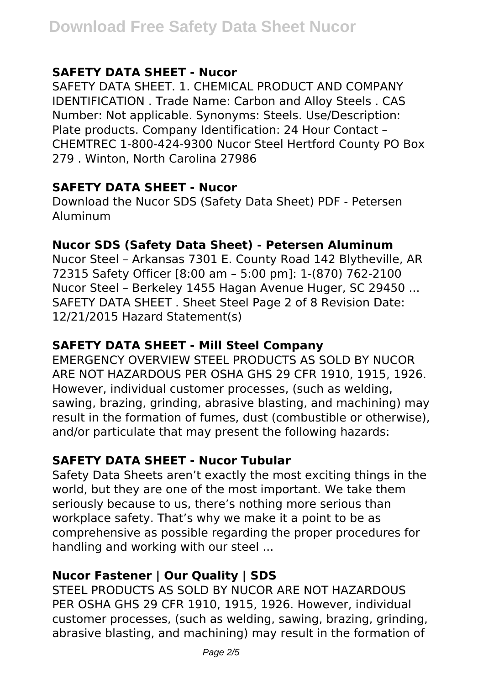## **SAFETY DATA SHEET - Nucor**

SAFETY DATA SHEET. 1. CHEMICAL PRODUCT AND COMPANY IDENTIFICATION . Trade Name: Carbon and Alloy Steels . CAS Number: Not applicable. Synonyms: Steels. Use/Description: Plate products. Company Identification: 24 Hour Contact – CHEMTREC 1-800-424-9300 Nucor Steel Hertford County PO Box 279 . Winton, North Carolina 27986

#### **SAFETY DATA SHEET - Nucor**

Download the Nucor SDS (Safety Data Sheet) PDF - Petersen Aluminum

#### **Nucor SDS (Safety Data Sheet) - Petersen Aluminum**

Nucor Steel – Arkansas 7301 E. County Road 142 Blytheville, AR 72315 Safety Officer [8:00 am – 5:00 pm]: 1-(870) 762-2100 Nucor Steel – Berkeley 1455 Hagan Avenue Huger, SC 29450 ... SAFETY DATA SHEET . Sheet Steel Page 2 of 8 Revision Date: 12/21/2015 Hazard Statement(s)

#### **SAFETY DATA SHEET - Mill Steel Company**

EMERGENCY OVERVIEW STEEL PRODUCTS AS SOLD BY NUCOR ARE NOT HAZARDOUS PER OSHA GHS 29 CFR 1910, 1915, 1926. However, individual customer processes, (such as welding, sawing, brazing, grinding, abrasive blasting, and machining) may result in the formation of fumes, dust (combustible or otherwise), and/or particulate that may present the following hazards:

#### **SAFETY DATA SHEET - Nucor Tubular**

Safety Data Sheets aren't exactly the most exciting things in the world, but they are one of the most important. We take them seriously because to us, there's nothing more serious than workplace safety. That's why we make it a point to be as comprehensive as possible regarding the proper procedures for handling and working with our steel ...

# **Nucor Fastener | Our Quality | SDS**

STEEL PRODUCTS AS SOLD BY NUCOR ARE NOT HAZARDOUS PER OSHA GHS 29 CFR 1910, 1915, 1926. However, individual customer processes, (such as welding, sawing, brazing, grinding, abrasive blasting, and machining) may result in the formation of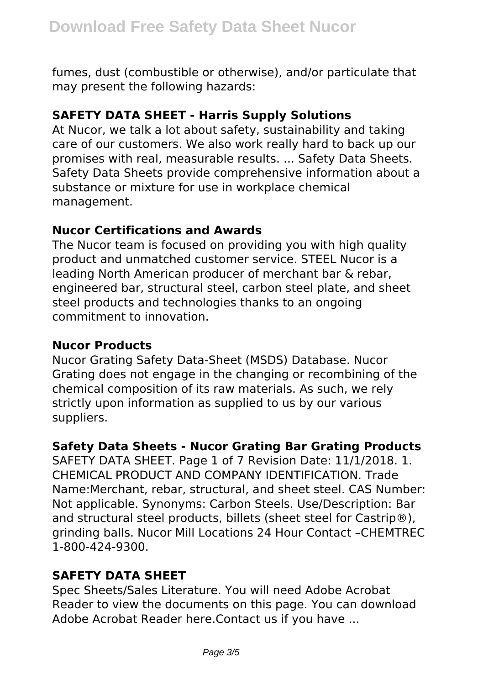fumes, dust (combustible or otherwise), and/or particulate that may present the following hazards:

## **SAFETY DATA SHEET - Harris Supply Solutions**

At Nucor, we talk a lot about safety, sustainability and taking care of our customers. We also work really hard to back up our promises with real, measurable results. ... Safety Data Sheets. Safety Data Sheets provide comprehensive information about a substance or mixture for use in workplace chemical management.

#### **Nucor Certifications and Awards**

The Nucor team is focused on providing you with high quality product and unmatched customer service. STEEL Nucor is a leading North American producer of merchant bar & rebar, engineered bar, structural steel, carbon steel plate, and sheet steel products and technologies thanks to an ongoing commitment to innovation.

#### **Nucor Products**

Nucor Grating Safety Data-Sheet (MSDS) Database. Nucor Grating does not engage in the changing or recombining of the chemical composition of its raw materials. As such, we rely strictly upon information as supplied to us by our various suppliers.

# **Safety Data Sheets - Nucor Grating Bar Grating Products**

SAFETY DATA SHEET. Page 1 of 7 Revision Date: 11/1/2018. 1. CHEMICAL PRODUCT AND COMPANY IDENTIFICATION. Trade Name:Merchant, rebar, structural, and sheet steel. CAS Number: Not applicable. Synonyms: Carbon Steels. Use/Description: Bar and structural steel products, billets (sheet steel for Castrip®). grinding balls. Nucor Mill Locations 24 Hour Contact –CHEMTREC 1-800-424-9300.

# **SAFETY DATA SHEET**

Spec Sheets/Sales Literature. You will need Adobe Acrobat Reader to view the documents on this page. You can download Adobe Acrobat Reader here.Contact us if you have ...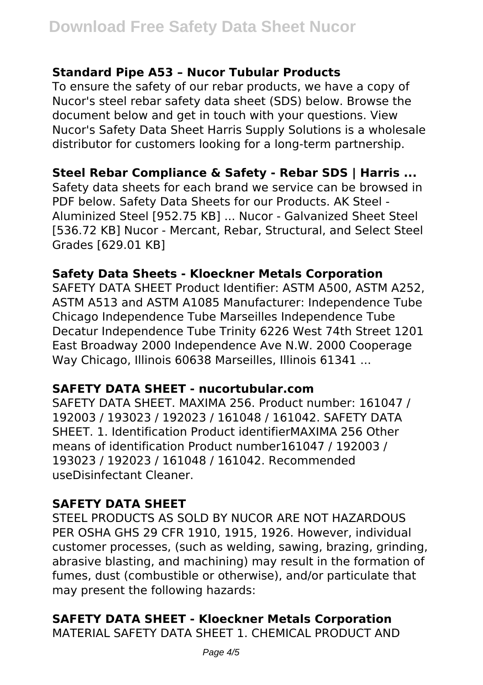#### **Standard Pipe A53 – Nucor Tubular Products**

To ensure the safety of our rebar products, we have a copy of Nucor's steel rebar safety data sheet (SDS) below. Browse the document below and get in touch with your questions. View Nucor's Safety Data Sheet Harris Supply Solutions is a wholesale distributor for customers looking for a long-term partnership.

# **Steel Rebar Compliance & Safety - Rebar SDS | Harris ...**

Safety data sheets for each brand we service can be browsed in PDF below. Safety Data Sheets for our Products. AK Steel - Aluminized Steel [952.75 KB] ... Nucor - Galvanized Sheet Steel [536.72 KB] Nucor - Mercant, Rebar, Structural, and Select Steel Grades [629.01 KB]

#### **Safety Data Sheets - Kloeckner Metals Corporation**

SAFETY DATA SHEET Product Identifier: ASTM A500, ASTM A252, ASTM A513 and ASTM A1085 Manufacturer: Independence Tube Chicago Independence Tube Marseilles Independence Tube Decatur Independence Tube Trinity 6226 West 74th Street 1201 East Broadway 2000 Independence Ave N.W. 2000 Cooperage Way Chicago, Illinois 60638 Marseilles, Illinois 61341 ...

# **SAFETY DATA SHEET - nucortubular.com**

SAFETY DATA SHEET. MAXIMA 256. Product number: 161047 / 192003 / 193023 / 192023 / 161048 / 161042. SAFETY DATA SHEET. 1. Identification Product identifierMAXIMA 256 Other means of identification Product number161047 / 192003 / 193023 / 192023 / 161048 / 161042. Recommended useDisinfectant Cleaner.

# **SAFETY DATA SHEET**

STEEL PRODUCTS AS SOLD BY NUCOR ARE NOT HAZARDOUS PER OSHA GHS 29 CFR 1910, 1915, 1926. However, individual customer processes, (such as welding, sawing, brazing, grinding, abrasive blasting, and machining) may result in the formation of fumes, dust (combustible or otherwise), and/or particulate that may present the following hazards:

# **SAFETY DATA SHEET - Kloeckner Metals Corporation**

MATERIAL SAFETY DATA SHEET 1. CHEMICAL PRODUCT AND